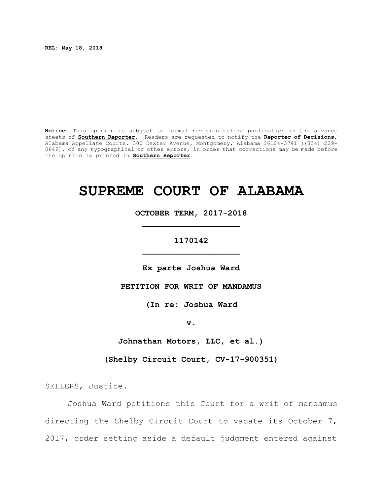**REL: May 18, 2018**

**Notice:** This opinion is subject to formal revision before publication in the advance sheets of **Southern Reporter**. Readers are requested to notify the **Reporter of Decisions**, Alabama Appellate Courts, 300 Dexter Avenue, Montgomery, Alabama 36104-3741 ((334) 229- 0649), of any typographical or other errors, in order that corrections may be made before the opinion is printed in **Southern Reporter**.

# **SUPREME COURT OF ALABAMA**

**OCTOBER TERM, 2017-2018 \_\_\_\_\_\_\_\_\_\_\_\_\_\_\_\_\_\_\_\_**

# **1170142 \_\_\_\_\_\_\_\_\_\_\_\_\_\_\_\_\_\_\_\_**

**Ex parte Joshua Ward**

**PETITION FOR WRIT OF MANDAMUS**

**(In re: Joshua Ward**

**v.**

**Johnathan Motors, LLC, et al.)**

**(Shelby Circuit Court, CV-17-900351)**

SELLERS, Justice.

Joshua Ward petitions this Court for a writ of mandamus directing the Shelby Circuit Court to vacate its October 7, 2017, order setting aside a default judgment entered against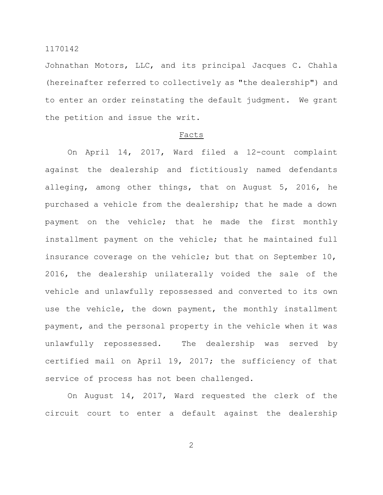Johnathan Motors, LLC, and its principal Jacques C. Chahla (hereinafter referred to collectively as "the dealership") and to enter an order reinstating the default judgment. We grant the petition and issue the writ.

#### Facts

On April 14, 2017, Ward filed a 12-count complaint against the dealership and fictitiously named defendants alleging, among other things, that on August 5, 2016, he purchased a vehicle from the dealership; that he made a down payment on the vehicle; that he made the first monthly installment payment on the vehicle; that he maintained full insurance coverage on the vehicle; but that on September 10, 2016, the dealership unilaterally voided the sale of the vehicle and unlawfully repossessed and converted to its own use the vehicle, the down payment, the monthly installment payment, and the personal property in the vehicle when it was unlawfully repossessed. The dealership was served by certified mail on April 19, 2017; the sufficiency of that service of process has not been challenged.

On August 14, 2017, Ward requested the clerk of the circuit court to enter a default against the dealership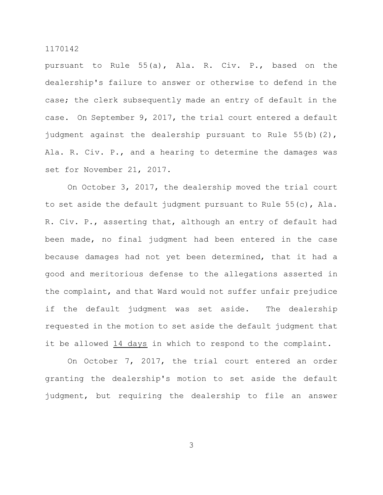pursuant to Rule 55(a), Ala. R. Civ. P., based on the dealership's failure to answer or otherwise to defend in the case; the clerk subsequently made an entry of default in the case. On September 9, 2017, the trial court entered a default judgment against the dealership pursuant to Rule 55(b)(2), Ala. R. Civ. P., and a hearing to determine the damages was set for November 21, 2017.

On October 3, 2017, the dealership moved the trial court to set aside the default judgment pursuant to Rule 55(c), Ala. R. Civ. P., asserting that, although an entry of default had been made, no final judgment had been entered in the case because damages had not yet been determined, that it had a good and meritorious defense to the allegations asserted in the complaint, and that Ward would not suffer unfair prejudice if the default judgment was set aside. The dealership requested in the motion to set aside the default judgment that it be allowed 14 days in which to respond to the complaint.

On October 7, 2017, the trial court entered an order granting the dealership's motion to set aside the default judgment, but requiring the dealership to file an answer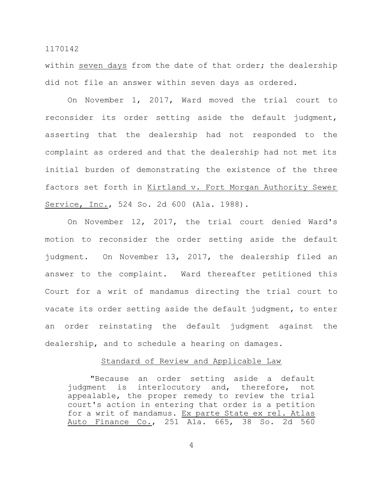within seven days from the date of that order; the dealership did not file an answer within seven days as ordered.

On November 1, 2017, Ward moved the trial court to reconsider its order setting aside the default judgment, asserting that the dealership had not responded to the complaint as ordered and that the dealership had not met its initial burden of demonstrating the existence of the three factors set forth in Kirtland v. Fort Morgan Authority Sewer Service, Inc., 524 So. 2d 600 (Ala. 1988).

On November 12, 2017, the trial court denied Ward's motion to reconsider the order setting aside the default judgment. On November 13, 2017, the dealership filed an answer to the complaint. Ward thereafter petitioned this Court for a writ of mandamus directing the trial court to vacate its order setting aside the default judgment, to enter an order reinstating the default judgment against the dealership, and to schedule a hearing on damages.

# Standard of Review and Applicable Law

"Because an order setting aside a default judgment is interlocutory and, therefore, not appealable, the proper remedy to review the trial court's action in entering that order is a petition for a writ of mandamus. Ex parte State ex rel. Atlas Auto Finance Co., 251 Ala. 665, 38 So. 2d 560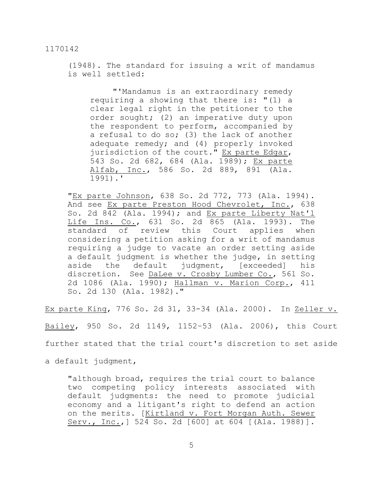(1948). The standard for issuing a writ of mandamus is well settled:

"'Mandamus is an extraordinary remedy requiring a showing that there is: "(1) a clear legal right in the petitioner to the order sought; (2) an imperative duty upon the respondent to perform, accompanied by a refusal to do so; (3) the lack of another adequate remedy; and (4) properly invoked jurisdiction of the court." Ex parte Edgar, 543 So. 2d 682, 684 (Ala. 1989); Ex parte Alfab, Inc., 586 So. 2d 889, 891 (Ala. 1991).'

"Ex parte Johnson, 638 So. 2d 772, 773 (Ala. 1994). And see Ex parte Preston Hood Chevrolet, Inc., 638 So. 2d 842 (Ala. 1994); and Ex parte Liberty Nat'l Life Ins. Co., 631 So. 2d 865 (Ala. 1993). The standard of review this Court applies when considering a petition asking for a writ of mandamus requiring a judge to vacate an order setting aside a default judgment is whether the judge, in setting aside the default judgment, [exceeded] his discretion. See DaLee v. Crosby Lumber Co., 561 So. 2d 1086 (Ala. 1990); Hallman v. Marion Corp., 411 So. 2d 130 (Ala. 1982)."

Ex parte King, 776 So. 2d 31, 33-34 (Ala. 2000). In Zeller v.

Bailey, 950 So. 2d 1149, 1152–53 (Ala. 2006), this Court

further stated that the trial court's discretion to set aside

a default judgment,

"although broad, requires the trial court to balance two competing policy interests associated with default judgments: the need to promote judicial economy and a litigant's right to defend an action on the merits. [Kirtland v. Fort Morgan Auth. Sewer Serv., Inc.,] 524 So. 2d [600] at 604 [(Ala. 1988)].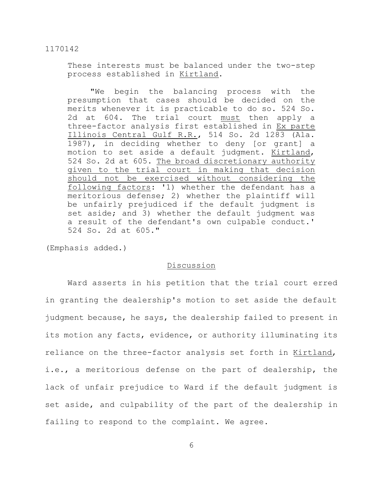These interests must be balanced under the two-step process established in Kirtland.

"We begin the balancing process with the presumption that cases should be decided on the merits whenever it is practicable to do so. 524 So. 2d at 604. The trial court must then apply a three-factor analysis first established in Ex parte Illinois Central Gulf R.R., 514 So. 2d 1283 (Ala. 1987), in deciding whether to deny [or grant] a motion to set aside a default judgment. Kirtland, 524 So. 2d at 605. The broad discretionary authority given to the trial court in making that decision should not be exercised without considering the following factors: '1) whether the defendant has a meritorious defense; 2) whether the plaintiff will be unfairly prejudiced if the default judgment is set aside; and 3) whether the default judgment was a result of the defendant's own culpable conduct.' 524 So. 2d at 605."

(Emphasis added.)

# Discussion

Ward asserts in his petition that the trial court erred in granting the dealership's motion to set aside the default judgment because, he says, the dealership failed to present in its motion any facts, evidence, or authority illuminating its reliance on the three-factor analysis set forth in Kirtland, i.e., a meritorious defense on the part of dealership, the lack of unfair prejudice to Ward if the default judgment is set aside, and culpability of the part of the dealership in failing to respond to the complaint. We agree.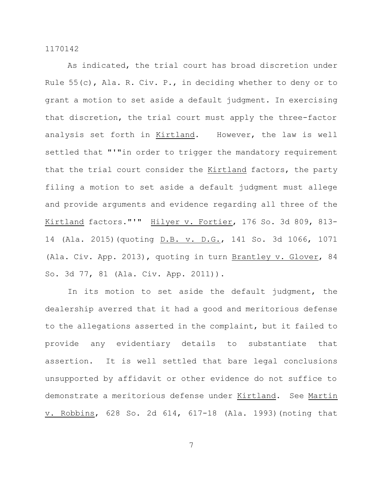As indicated, the trial court has broad discretion under Rule 55(c), Ala. R. Civ. P., in deciding whether to deny or to grant a motion to set aside a default judgment. In exercising that discretion, the trial court must apply the three-factor analysis set forth in Kirtland. However, the law is well settled that "'"in order to trigger the mandatory requirement that the trial court consider the Kirtland factors, the party filing a motion to set aside a default judgment must allege and provide arguments and evidence regarding all three of the Kirtland factors."'" Hilyer v. Fortier, 176 So. 3d 809, 813-14 (Ala. 2015)(quoting D.B. v. D.G., 141 So. 3d 1066, 1071 (Ala. Civ. App. 2013), quoting in turn Brantley v. Glover, 84 So. 3d 77, 81 (Ala. Civ. App. 2011)).

In its motion to set aside the default judgment, the dealership averred that it had a good and meritorious defense to the allegations asserted in the complaint, but it failed to provide any evidentiary details to substantiate that assertion. It is well settled that bare legal conclusions unsupported by affidavit or other evidence do not suffice to demonstrate a meritorious defense under Kirtland. See Martin v. Robbins, 628 So. 2d 614, 617-18 (Ala. 1993)(noting that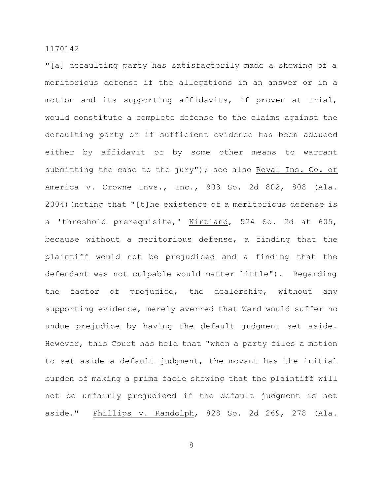"[a] defaulting party has satisfactorily made a showing of a meritorious defense if the allegations in an answer or in a motion and its supporting affidavits, if proven at trial, would constitute a complete defense to the claims against the defaulting party or if sufficient evidence has been adduced either by affidavit or by some other means to warrant submitting the case to the jury"); see also Royal Ins. Co. of America v. Crowne Invs., Inc., 903 So. 2d 802, 808 (Ala. 2004)(noting that "[t]he existence of a meritorious defense is a 'threshold prerequisite,' Kirtland, 524 So. 2d at 605, because without a meritorious defense, a finding that the plaintiff would not be prejudiced and a finding that the defendant was not culpable would matter little"). Regarding the factor of prejudice, the dealership, without any supporting evidence, merely averred that Ward would suffer no undue prejudice by having the default judgment set aside. However, this Court has held that "when a party files a motion to set aside a default judgment, the movant has the initial burden of making a prima facie showing that the plaintiff will not be unfairly prejudiced if the default judgment is set aside." Phillips v. Randolph, 828 So. 2d 269, 278 (Ala.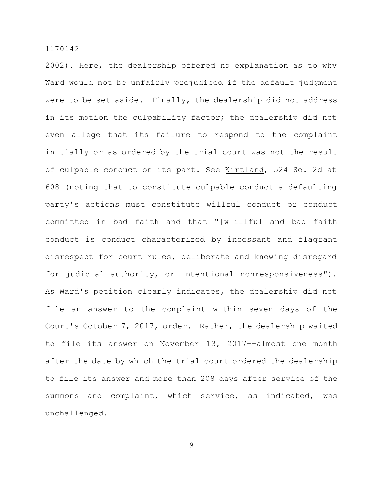2002). Here, the dealership offered no explanation as to why Ward would not be unfairly prejudiced if the default judgment were to be set aside. Finally, the dealership did not address in its motion the culpability factor; the dealership did not even allege that its failure to respond to the complaint initially or as ordered by the trial court was not the result of culpable conduct on its part. See Kirtland, 524 So. 2d at 608 (noting that to constitute culpable conduct a defaulting party's actions must constitute willful conduct or conduct committed in bad faith and that "[w]illful and bad faith conduct is conduct characterized by incessant and flagrant disrespect for court rules, deliberate and knowing disregard for judicial authority, or intentional nonresponsiveness"). As Ward's petition clearly indicates, the dealership did not file an answer to the complaint within seven days of the Court's October 7, 2017, order. Rather, the dealership waited to file its answer on November 13, 2017--almost one month after the date by which the trial court ordered the dealership to file its answer and more than 208 days after service of the summons and complaint, which service, as indicated, was unchallenged.